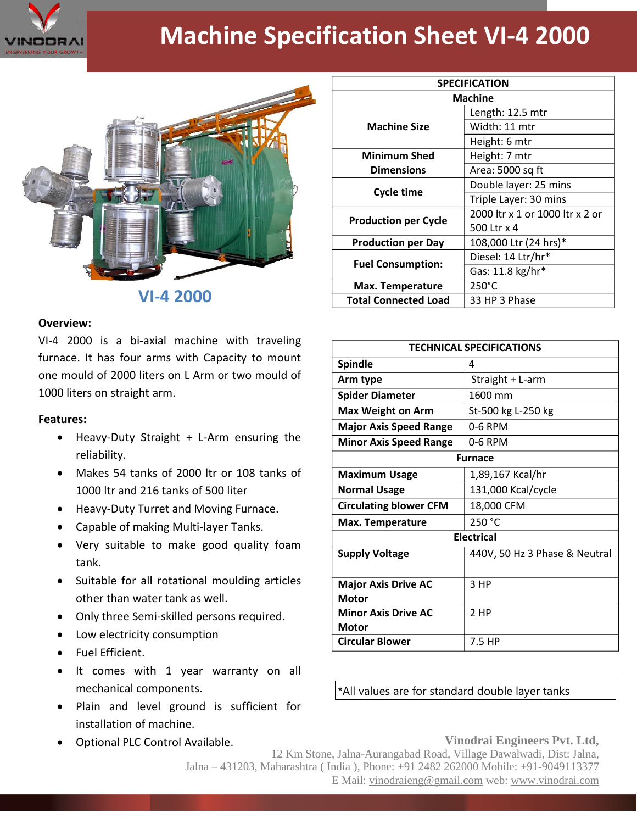

## **Machine Specification Sheet VI-4 2000**



**VI-4 2000**

## **Overview:**

VI-4 2000 is a bi-axial machine with traveling furnace. It has four arms with Capacity to mount one mould of 2000 liters on L Arm or two mould of 1000 liters on straight arm.

## **Features:**

- Heavy-Duty Straight + L-Arm ensuring the reliability.
- Makes 54 tanks of 2000 ltr or 108 tanks of 1000 ltr and 216 tanks of 500 liter
- Heavy-Duty Turret and Moving Furnace.
- Capable of making Multi-layer Tanks.
- Very suitable to make good quality foam tank.
- Suitable for all rotational moulding articles other than water tank as well.
- Only three Semi-skilled persons required.
- Low electricity consumption
- Fuel Efficient.
- It comes with 1 year warranty on all mechanical components.
- Plain and level ground is sufficient for installation of machine.
- Optional PLC Control Available.

| <b>SPECIFICATION</b>        |                                 |
|-----------------------------|---------------------------------|
| <b>Machine</b>              |                                 |
| <b>Machine Size</b>         | Length: 12.5 mtr                |
|                             | Width: 11 mtr                   |
|                             | Height: 6 mtr                   |
| <b>Minimum Shed</b>         | Height: 7 mtr                   |
| <b>Dimensions</b>           | Area: 5000 sq ft                |
| <b>Cycle time</b>           | Double layer: 25 mins           |
|                             | Triple Layer: 30 mins           |
| <b>Production per Cycle</b> | 2000 ltr x 1 or 1000 ltr x 2 or |
|                             | 500 Ltr x 4                     |
| <b>Production per Day</b>   | 108,000 Ltr (24 hrs)*           |
| <b>Fuel Consumption:</b>    | Diesel: 14 Ltr/hr*              |
|                             | Gas: 11.8 kg/hr*                |
| Max. Temperature            | 250°C                           |
| <b>Total Connected Load</b> | 33 HP 3 Phase                   |

| <b>TECHNICAL SPECIFICATIONS</b>            |                               |
|--------------------------------------------|-------------------------------|
| <b>Spindle</b>                             | 4                             |
| Arm type                                   | Straight + L-arm              |
| <b>Spider Diameter</b>                     | 1600 mm                       |
| <b>Max Weight on Arm</b>                   | St-500 kg L-250 kg            |
| <b>Major Axis Speed Range</b>              | 0-6 RPM                       |
| <b>Minor Axis Speed Range</b>              | 0-6 RPM                       |
| <b>Furnace</b>                             |                               |
| <b>Maximum Usage</b>                       | 1,89,167 Kcal/hr              |
| <b>Normal Usage</b>                        | 131,000 Kcal/cycle            |
| <b>Circulating blower CFM</b>              | 18,000 CFM                    |
| Max. Temperature                           | 250 °C                        |
| <b>Electrical</b>                          |                               |
| <b>Supply Voltage</b>                      | 440V, 50 Hz 3 Phase & Neutral |
| <b>Major Axis Drive AC</b><br><b>Motor</b> | 3 HP                          |
| <b>Minor Axis Drive AC</b><br>Motor        | 2 HP                          |
| <b>Circular Blower</b>                     | 7.5 HP                        |

\*All values are for standard double layer tanks

## **Vinodrai Engineers Pvt. Ltd,**

12 Km Stone, Jalna-Aurangabad Road, Village Dawalwadi, Dist: Jalna, Jalna – 431203, Maharashtra ( India ), Phone: +91 2482 262000 Mobile: +91-9049113377 E Mail: vinodraieng@gmail.com web: www.vinodrai.com